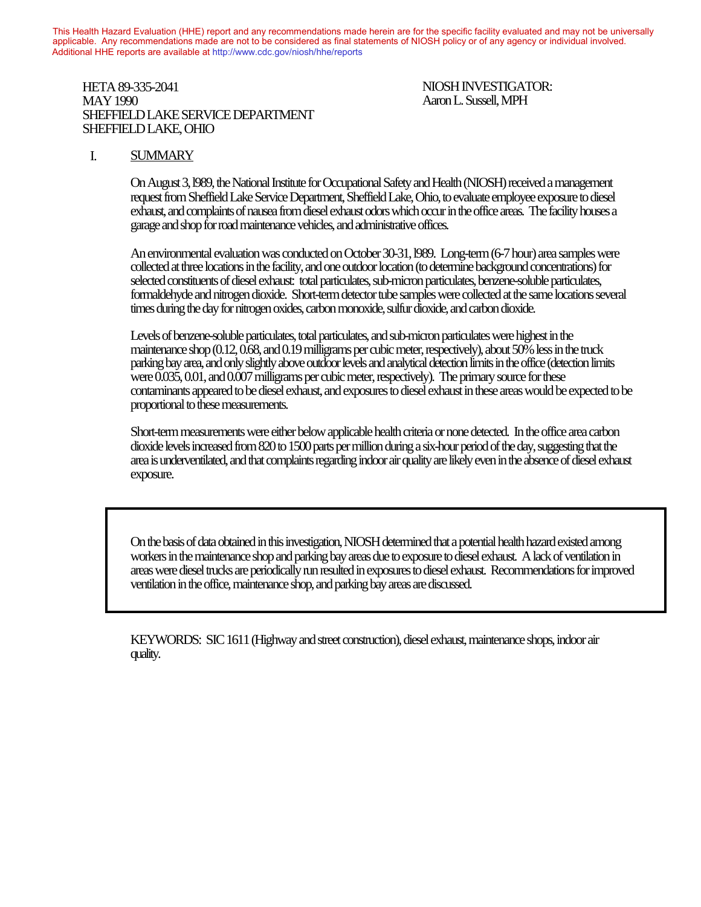This Health Hazard Evaluation (HHE) report and any recommendations made herein are for the specific facility evaluated and may not be universally applicable. Any recommendations made are not to be considered as final statements of NIOSH policy or of any agency or individual involved. Additional HHE reports are available at http://www.cdc.gov/niosh/hhe/reports Additional HHE reports are available at [http://www.cdc.gov/niosh/hhe/reports](http://www.cdc.gov/niosh/hhe)

#### HETA 89-335-2041 NIOSH INVESTIGATOR: MAY 1990 **MAY 1990 Report and any report and any report are for the specific facility evaluated and may not be universally MPH** Any recommendations made are not to be considered as final statements of NIOSH policy or in the SHEFFIELD LAKE SERVICE DEPARTMENT SHEFFIELD LAKE, OHIO  $\alpha$  in the distribution and available available and  $\alpha$

### I. SUMMARY

On August 3, l989, the National Institute for Occupational Safety and Health (NIOSH) received a management request from Sheffield Lake Service Department, Sheffield Lake, Ohio, to evaluate employee exposure to diesel exhaust, and complaints of nausea from diesel exhaust odors which occur in the office areas. The facility houses a garage and shop for road maintenance vehicles, and administrative offices.

An environmental evaluation was conducted on October 30-31, l989. Long-term (6-7 hour) area samples were collected at three locations in the facility, and one outdoor location (to determine background concentrations) for selected constituents of diesel exhaust: total particulates, sub-micron particulates, benzene-soluble particulates, formaldehyde and nitrogen dioxide. Short-term detector tube samples were collected at the same locations several times during the day for nitrogen oxides, carbon monoxide, sulfur dioxide, and carbon dioxide.

Levels of benzene-soluble particulates, total particulates, and sub-micron particulates were highest in the maintenance shop (0.12, 0.68, and 0.19 milligrams per cubic meter, respectively), about 50% less in the truck parking bay area, and only slightly above outdoor levels and analytical detection limits in the office (detection limits were 0.035, 0.01, and 0.007 milligrams per cubic meter, respectively). The primary source for these contaminants appeared to be diesel exhaust, and exposures to diesel exhaust in these areas would be expected to be proportional to these measurements.

Short-term measurements were either below applicable health criteria or none detected. In the office area carbon dioxide levels increased from 820 to 1500 parts per million during a six-hour period of the day, suggesting that the area is underventilated, and that complaints regarding indoor air quality are likely even in the absence of diesel exhaust exposure.

On the basis of data obtained in this investigation, NIOSH determined that a potential health hazard existed among workers in the maintenance shop and parking bay areas due to exposure to diesel exhaust. A lack of ventilation in areas were diesel trucks are periodically run resulted in exposures to diesel exhaust. Recommendations for improved ventilation in the office, maintenance shop, and parking bay areas are discussed.

KEYWORDS: SIC 1611 (Highway and street construction), diesel exhaust, maintenance shops, indoor air quality.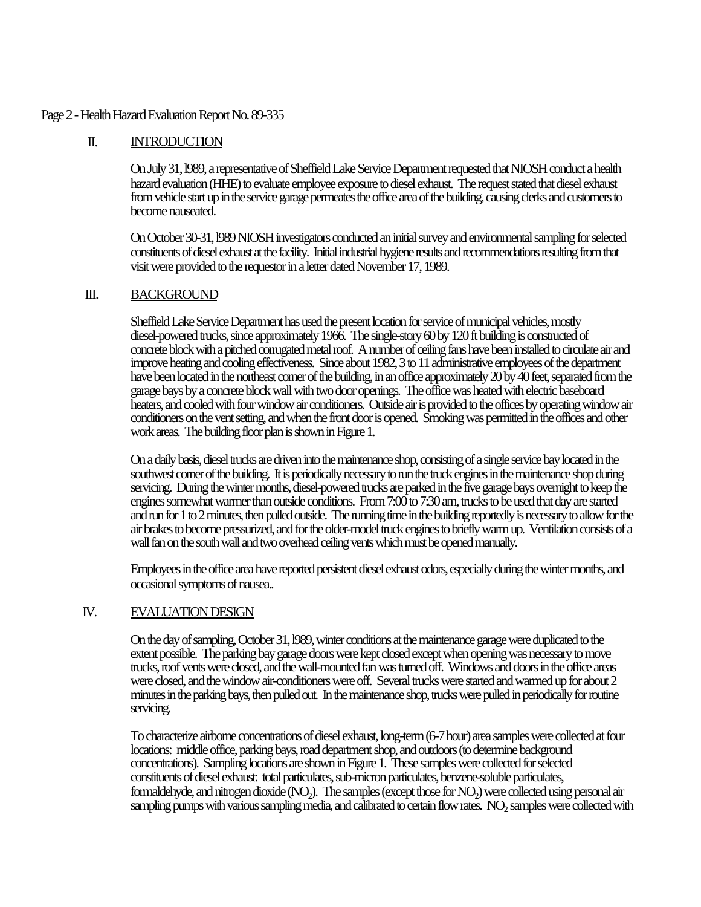### Page 2 - Health Hazard Evaluation Report No. 89-335

## II. INTRODUCTION

On July 31, l989, a representative of Sheffield Lake Service Department requested that NIOSH conduct a health hazard evaluation (HHE) to evaluate employee exposure to diesel exhaust. The request stated that diesel exhaust from vehicle start up in the service garage permeates the office area of the building, causing clerks and customers to become nauseated.

On October 30-31, l989 NIOSH investigators conducted an initial survey and environmental sampling for selected constituents of diesel exhaust at the facility. Initial industrial hygiene results and recommendations resulting from that visit were provided to the requestor in a letter dated November 17, 1989.

### III. BACKGROUND

Sheffield Lake Service Department has used the present location for service of municipal vehicles, mostly diesel-powered trucks, since approximately 1966. The single-story 60 by 120 ft building is constructed of concrete block with a pitched corrugated metal roof. A number of ceiling fans have been installed to circulate air and improve heating and cooling effectiveness. Since about 1982, 3 to 11 administrative employees of the department have been located in the northeast corner of the building, in an office approximately 20 by 40 feet, separated from the garage bays by a concrete block wall with two door openings. The office was heated with electric baseboard heaters, and cooled with four window air conditioners. Outside air is provided to the offices by operating window air conditioners on the vent setting, and when the front door is opened. Smoking was permitted in the offices and other work areas. The building floor plan is shown in Figure 1.

On a daily basis, diesel trucks are driven into the maintenance shop, consisting of a single service bay located in the southwest corner of the building. It is periodically necessary to run the truck engines in the maintenance shop during servicing. During the winter months, diesel-powered trucks are parked in the five garage bays overnight to keep the engines somewhat warmer than outside conditions. From 7:00 to 7:30 am, trucks to be used that day are started and run for 1 to 2 minutes, then pulled outside. The running time in the building reportedly is necessary to allow for the air brakes to become pressurized, and for the older-model truck engines to briefly warm up. Ventilation consists of a wall fan on the south wall and two overhead ceiling vents which must be opened manually.

Employees in the office area have reported persistent diesel exhaust odors, especially during the winter months, and occasional symptoms of nausea..

### IV. EVALUATION DESIGN

On the day of sampling, October 31, l989, winter conditions at the maintenance garage were duplicated to the extent possible. The parking bay garage doors were kept closed except when opening was necessary to move trucks, roof vents were closed, and the wall-mounted fan was turned off. Windows and doors in the office areas were closed, and the window air-conditioners were off. Several trucks were started and warmed up for about 2 minutes in the parking bays, then pulled out. In the maintenance shop, trucks were pulled in periodically for routine servicing.

To characterize airborne concentrations of diesel exhaust, long-term (6-7 hour) area samples were collected at four locations: middle office, parking bays, road department shop, and outdoors (to determine background concentrations). Sampling locations are shown in Figure 1. These samples were collected for selected constituents of diesel exhaust: total particulates, sub-micron particulates, benzene-soluble particulates, formaldehyde, and nitrogen dioxide (NO<sub>2</sub>). The samples (except those for NO<sub>2</sub>) were collected using personal air sampling pumps with various sampling media, and calibrated to certain flow rates.  $\rm NO_2$  samples were collected with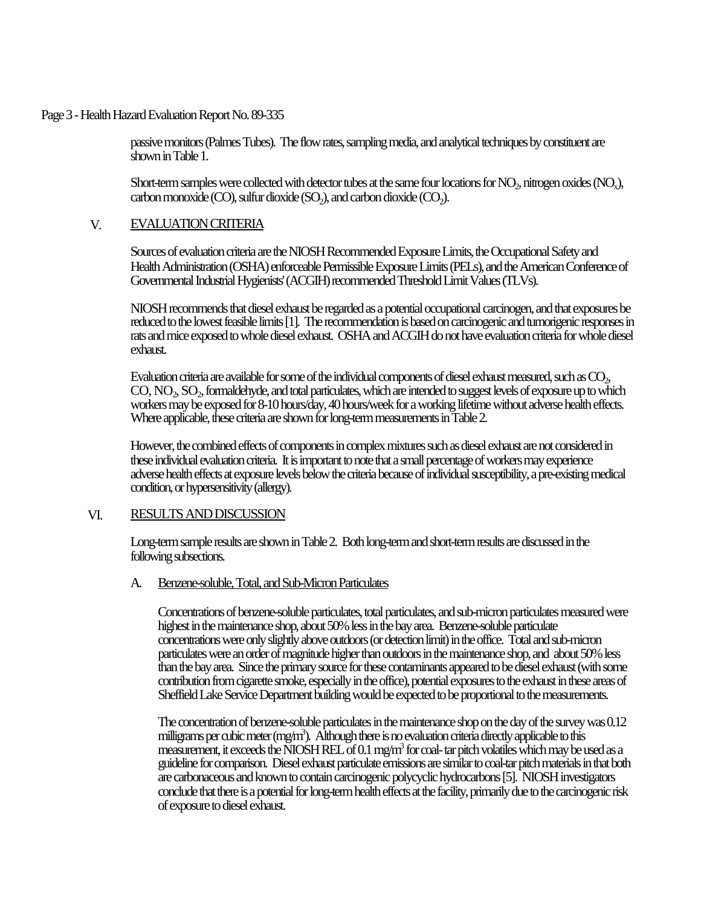Page 3 - Health Hazard Evaluation Report No. 89-335

passive monitors (Palmes Tubes). The flow rates, sampling media, and analytical techniques by constituent are shown in Table 1.

Short-term samples were collected with detector tubes at the same four locations for  $\rm NO_2$ , nitrogen oxides ( $\rm NO_x$ ),  $\alpha$  carbon monoxide (CO), sulfur dioxide (SO<sub>2</sub>), and carbon dioxide (CO<sub>2</sub>).

#### V. EVALUATION CRITERIA

Sources of evaluation criteria are the NIOSH Recommended Exposure Limits, the Occupational Safety and Health Administration (OSHA) enforceable Permissible Exposure Limits (PELs), and the American Conference of Governmental Industrial Hygienists' (ACGIH) recommended Threshold Limit Values (TLVs).

NIOSH recommends that diesel exhaust be regarded as a potential occupational carcinogen, and that exposures be reduced to the lowest feasible limits [1]. The recommendation is based on carcinogenic and tumorigenic responses in rats and mice exposed to whole diesel exhaust. OSHA and ACGIH do not have evaluation criteria for whole diesel exhaust.

Evaluation criteria are available for some of the individual components of diesel exhaust measured, such as  $\mathrm{CO}_2$ ,  $\rm CO, NO_2, SO_2$  formaldehyde, and total particulates, which are intended to suggest levels of exposure up to which workers may be exposed for 8-10 hours/day, 40 hours/week for a working lifetime without adverse health effects. Where applicable, these criteria are shown for long-term measurements in Table 2.

However, the combined effects of components in complex mixtures such as diesel exhaust are not considered in these individual evaluation criteria. It is important to note that a small percentage of workers may experience adverse health effects at exposure levels below the criteria because of individual susceptibility, a pre-existing medical condition, or hypersensitivity (allergy).

### VI. RESULTS AND DISCUSSION

Long-term sample results are shown in Table 2. Both long-term and short-term results are discussed in the following subsections.

### A. Benzene-soluble, Total, and Sub-Micron Particulates

Concentrations of benzene-soluble particulates, total particulates, and sub-micron particulates measured were highest in the maintenance shop, about 50% less in the bay area. Benzene-soluble particulate concentrations were only slightly above outdoors (or detection limit) in the office. Total and sub-micron particulates were an order of magnitude higher than outdoors in the maintenance shop, and about 50% less than the bay area. Since the primary source for these contaminants appeared to be diesel exhaust (with some contribution from cigarette smoke, especially in the office), potential exposures to the exhaust in these areas of Sheffield Lake Service Department building would be expected to be proportional to the measurements.

The concentration of benzene-soluble particulates in the maintenance shop on the day of the survey was 0.12 milligrams per cubic meter (mg/m<sup>3</sup> ). Although there is no evaluation criteria directly applicable to this measurement, it exceeds the NIOSH REL of 0.1 mg/m<sup>3</sup> for coal- tar pitch volatiles which may be used as a guideline for comparison. Diesel exhaust particulate emissions are similar to coal-tar pitch materials in that both are carbonaceous and known to contain carcinogenic polycyclic hydrocarbons [5]. NIOSH investigators conclude that there is a potential for long-term health effects at the facility, primarily due to the carcinogenic risk of exposure to diesel exhaust.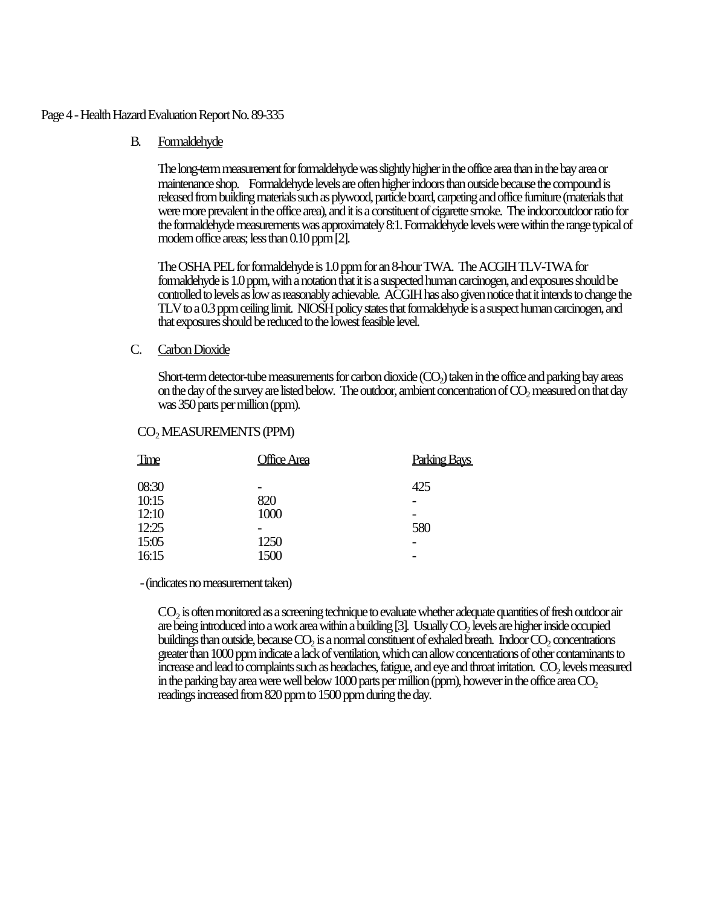#### Page 4 - Health Hazard Evaluation Report No. 89-335

### B. Formaldehyde

The long-term measurement for formaldehyde was slightly higher in the office area than in the bay area or maintenance shop. Formaldehyde levels are often higher indoors than outside because the compound is released from building materials such as plywood, particle board, carpeting and office furniture (materials that were more prevalent in the office area), and it is a constituent of cigarette smoke. The indoor:outdoor ratio for the formaldehyde measurements was approximately 8:1. Formaldehyde levels were within the range typical of modern office areas; less than 0.10 ppm [2].

The OSHA PEL for formaldehyde is 1.0 ppm for an 8-hour TWA. The ACGIH TLV-TWA for formaldehyde is 1.0 ppm, with a notation that it is a suspected human carcinogen, and exposures should be controlled to levels as low as reasonably achievable. ACGIH has also given notice that it intends to change the TLV to a 0.3 ppm ceiling limit. NIOSH policy states that formaldehyde is a suspect human carcinogen, and that exposures should be reduced to the lowest feasible level.

#### C. Carbon Dioxide

Short-term detector-tube measurements for carbon dioxide  $(CO<sub>2</sub>)$  taken in the office and parking bay areas on the day of the survey are listed below. The outdoor, ambient concentration of  $\mathrm{CO}_2$  measured on that day was 350 parts per million (ppm).

| Time  | Office Area | Parking Bays             |
|-------|-------------|--------------------------|
| 08:30 |             | 425                      |
| 10:15 | 820         | $\overline{\phantom{0}}$ |
| 12:10 | 1000        |                          |
| 12:25 |             | 580                      |
| 15:05 | 1250        |                          |
| 16:15 | 1500        |                          |

# CO<sup>2</sup> MEASUREMENTS (PPM)

- (indicates no measurement taken)

 $\mathrm{CO}_2$  is often monitored as a screening technique to evaluate whether adequate quantities of fresh outdoor air are being introduced into a work area within a building [3]. Usually  $\mathrm{CO}_2$  levels are higher inside occupied buildings than outside, because  $\mathrm{CO}_2$  is a normal constituent of exhaled breath. Indoor  $\mathrm{CO}_2$  concentrations greater than 1000 ppm indicate a lack of ventilation, which can allow concentrations of other contaminants to increase and lead to complaints such as headaches, fatigue, and eye and throat irritation.  $\rm CO_2$  levels measured in the parking bay area were well below  $1000$  parts per million (ppm), however in the office area  $CO<sub>2</sub>$ readings increased from 820 ppm to 1500 ppm during the day.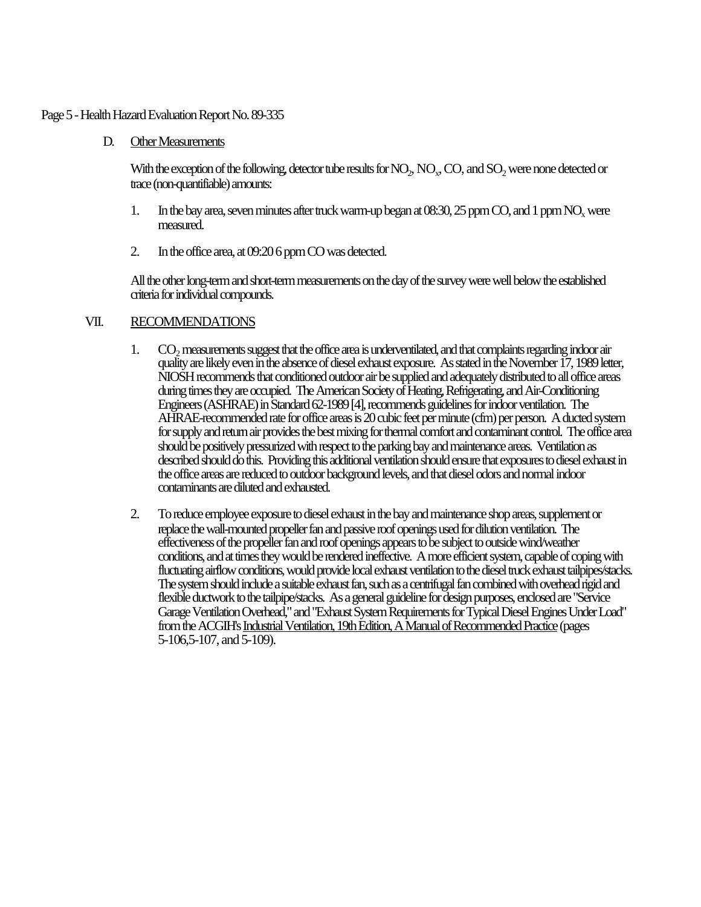#### Page 5 - Health Hazard Evaluation Report No. 89-335

D. Other Measurements

With the exception of the following, detector tube results for  $\rm NO_2$ ,  $\rm NO_x$ ,  $\rm CO$ , and  $\rm SO_2$  were none detected or trace (non-quantifiable) amounts:

- 1. In the bay area, seven minutes after truck warm-up began at  $08:30$ ,  $25$  ppm CO, and 1 ppm NO<sub>x</sub> were measured.
- 2. In the office area, at 09:20 6 ppm CO was detected.

All the other long-term and short-term measurements on the day of the survey were well below the established criteria for individual compounds.

## VII. RECOMMENDATIONS

- 1. CO<sub>2</sub> measurements suggest that the office area is underventilated, and that complaints regarding indoor air quality are likely even in the absence of diesel exhaust exposure. As stated in the November 17, 1989 letter, NIOSH recommends that conditioned outdoor air be supplied and adequately distributed to all office areas during times they are occupied. The American Society of Heating, Refrigerating, and Air-Conditioning Engineers (ASHRAE) in Standard 62-1989 [4], recommends guidelines for indoor ventilation. The AHRAE-recommended rate for office areas is 20 cubic feet per minute (cfm) per person. A ducted system for supply and return air provides the best mixing for thermal comfort and contaminant control. The office area should be positively pressurized with respect to the parking bay and maintenance areas. Ventilation as described should do this. Providing this additional ventilation should ensure that exposures to diesel exhaust in the office areas are reduced to outdoor background levels, and that diesel odors and normal indoor contaminants are diluted and exhausted.
- 2. To reduce employee exposure to diesel exhaust in the bay and maintenance shop areas, supplement or replace the wall-mounted propeller fan and passive roof openings used for dilution ventilation. The effectiveness of the propeller fan and roof openings appears to be subject to outside wind/weather conditions, and at times they would be rendered ineffective. A more efficient system, capable of coping with fluctuating airflow conditions, would provide local exhaust ventilation to the diesel truck exhaust tailpipes/stacks. The system should include a suitable exhaust fan, such as a centrifugal fan combined with overhead rigid and flexible ductwork to the tailpipe/stacks. As a general guideline for design purposes, enclosed are "Service Garage Ventilation Overhead," and "Exhaust System Requirements for Typical Diesel Engines Under Load" from the ACGIH's Industrial Ventilation, 19th Edition, A Manual of Recommended Practice (pages 5-106,5-107, and 5-109).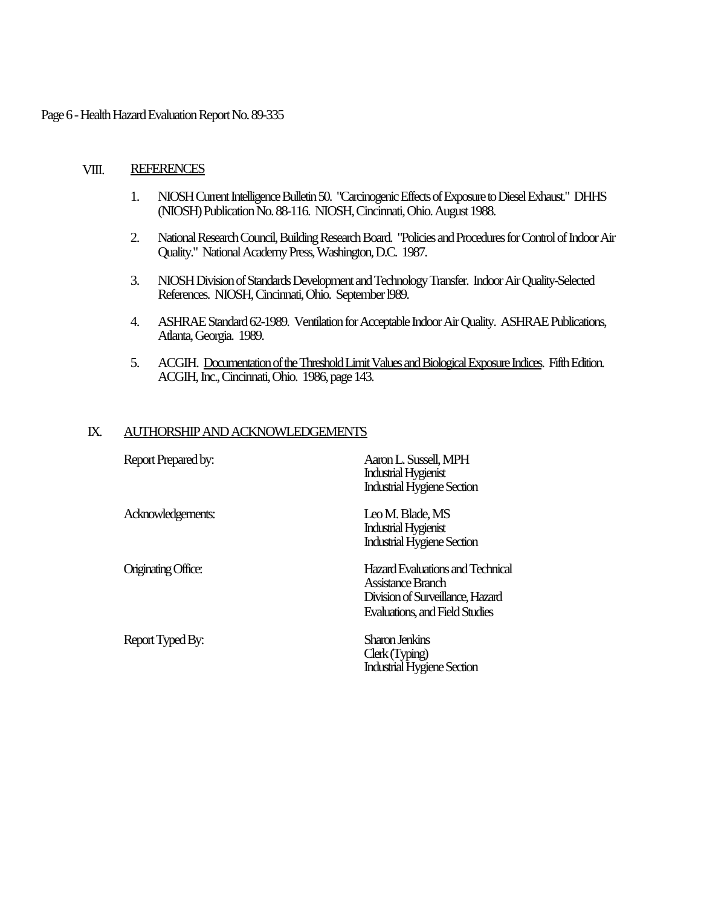#### Page 6 - Health Hazard Evaluation Report No. 89-335

#### VIII. REFERENCES

- 1. NIOSH Current Intelligence Bulletin 50. "Carcinogenic Effects of Exposure to Diesel Exhaust." DHHS (NIOSH) Publication No. 88-116. NIOSH, Cincinnati, Ohio. August 1988.
- 2. National Research Council, Building Research Board. "Policies and Procedures for Control of Indoor Air Quality." National Academy Press, Washington, D.C. 1987.
- 3. NIOSH Division of Standards Development and Technology Transfer. Indoor Air Quality-Selected References. NIOSH, Cincinnati, Ohio. September l989.
- 4. ASHRAE Standard 62-1989. Ventilation for Acceptable Indoor Air Quality. ASHRAE Publications, Atlanta, Georgia. 1989.
- 5. ACGIH. Documentation of the Threshold Limit Values and Biological Exposure Indices. Fifth Edition. ACGIH, Inc., Cincinnati, Ohio. 1986, page 143.

### IX. AUTHORSHIP AND ACKNOWLEDGEMENTS

| Report Prepared by:        | Aaron L. Sussell, MPH<br><b>Industrial Hygienist</b><br><b>Industrial Hygiene Section</b>                                   |
|----------------------------|-----------------------------------------------------------------------------------------------------------------------------|
| Acknowledgements:          | Leo M. Blade, MS<br><b>Industrial Hygienist</b><br><b>Industrial Hygiene Section</b>                                        |
| <b>Originating Office:</b> | Hazard Evaluations and Technical<br>Assistance Branch<br>Division of Surveillance, Hazard<br>Evaluations, and Field Studies |
| Report Typed By:           | Sharon Jenkins<br>Clerk (Typing)<br><b>Industrial Hygiene Section</b>                                                       |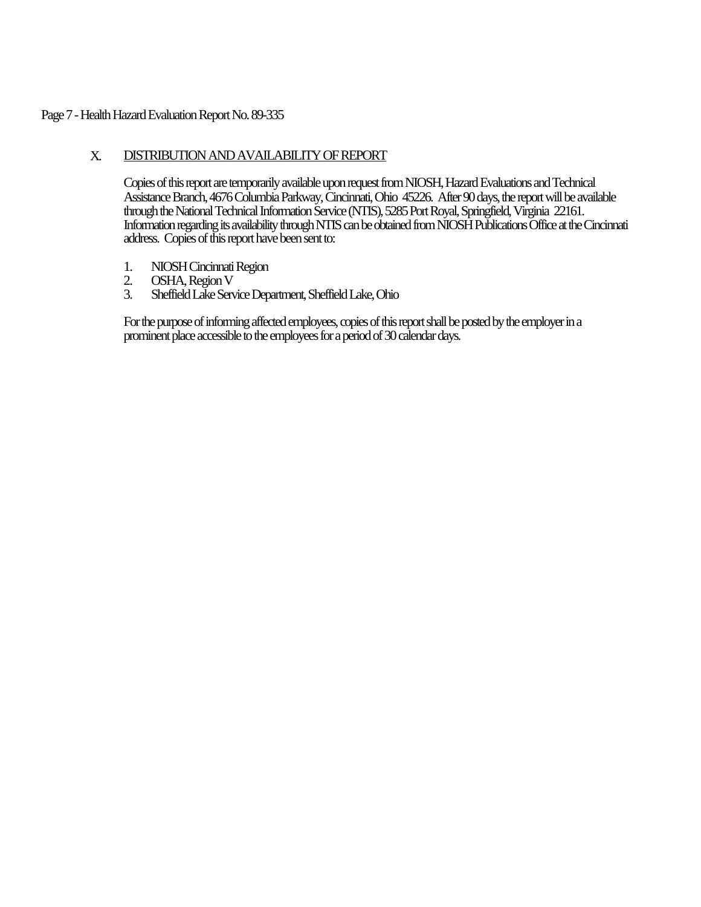### Page 7 - Health Hazard Evaluation Report No. 89-335

## X. DISTRIBUTION AND AVAILABILITY OF REPORT

Copies of this report are temporarily available upon request from NIOSH, Hazard Evaluations and Technical Assistance Branch, 4676 Columbia Parkway, Cincinnati, Ohio 45226. After 90 days, the report will be available through the National Technical Information Service (NTIS), 5285 Port Royal, Springfield, Virginia 22161. Information regarding its availability through NTIS can be obtained from NIOSH Publications Office at the Cincinnati address. Copies of this report have been sent to:

- 1. NIOSH Cincinnati Region<br>2. OSHA. Region V
- 2. OSHA, Region V<br>3. Sheffield Lake Serv
- 3. Sheffield Lake Service Department, Sheffield Lake, Ohio

For the purpose of informing affected employees, copies of this report shall be posted by the employer in a prominent place accessible to the employees for a period of 30 calendar days.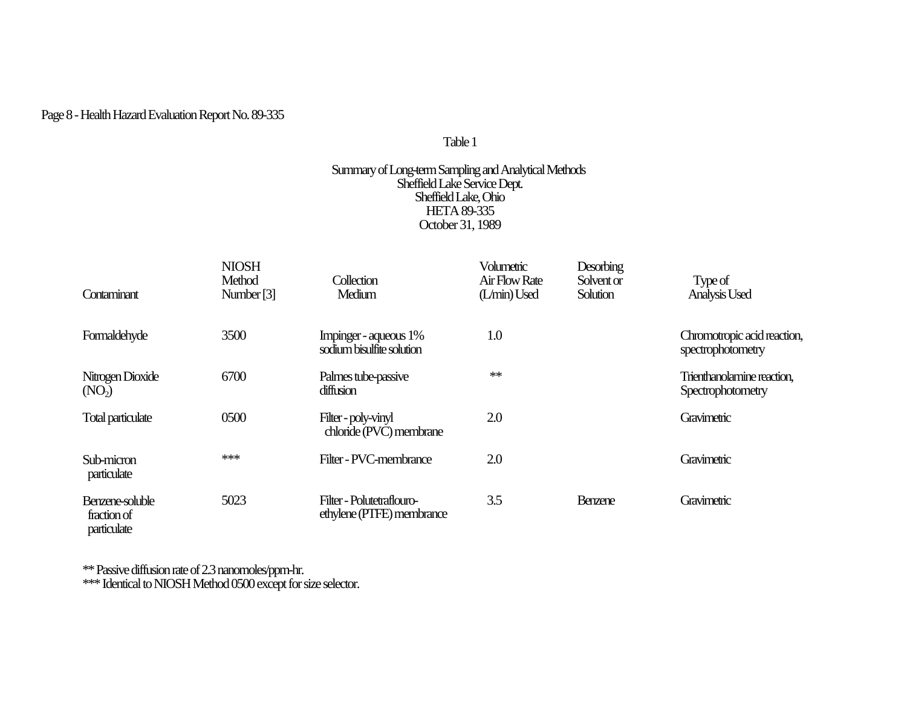## Page 8 - Health Hazard Evaluation Report No. 89-335

## Table 1

#### Summary of Long-term Sampling and Analytical Methods Sheffield Lake Service Dept. Sheffield Lake, Ohio HETA 89-335 October 31, 1989

| Contaminant                                   | <b>NIOSH</b><br>Method<br>Number <sup>[3]</sup> | Collection<br>Medium                                   | Volumetric<br>Air Flow Rate<br>(L/min) Used | <b>Desorbing</b><br>Solvent or<br>Solution | Type of<br>Analysis Used                         |
|-----------------------------------------------|-------------------------------------------------|--------------------------------------------------------|---------------------------------------------|--------------------------------------------|--------------------------------------------------|
| Formaldehyde                                  | 3500                                            | Impinger - aqueous 1%<br>sodium bisulfite solution     | 1.0                                         |                                            | Chromotropic acid reaction,<br>spectrophotometry |
| Nitrogen Dioxide<br>(NO <sub>2</sub> )        | 6700                                            | Palmes tube-passive<br>diffusion                       | **                                          |                                            | Trienthanolamine reaction,<br>Spectrophotometry  |
| Total particulate                             | 0500                                            | Filter-poly-vinyl<br>chloride (PVC) membrane           | 2.0                                         |                                            | Gravimetric                                      |
| Sub-micron<br>particulate                     | ***                                             | Filter - PVC-membrance                                 | 2.0                                         |                                            | Gravimetric                                      |
| Benzene-soluble<br>fraction of<br>particulate | 5023                                            | Filter - Polutetraflouro-<br>ethylene (PTFE) membrance | 3.5                                         | <b>Benzene</b>                             | Gravimetric                                      |

\*\* Passive diffusion rate of 2.3 nanomoles/ppm-hr.

\*\*\* Identical to NIOSH Method 0500 except for size selector.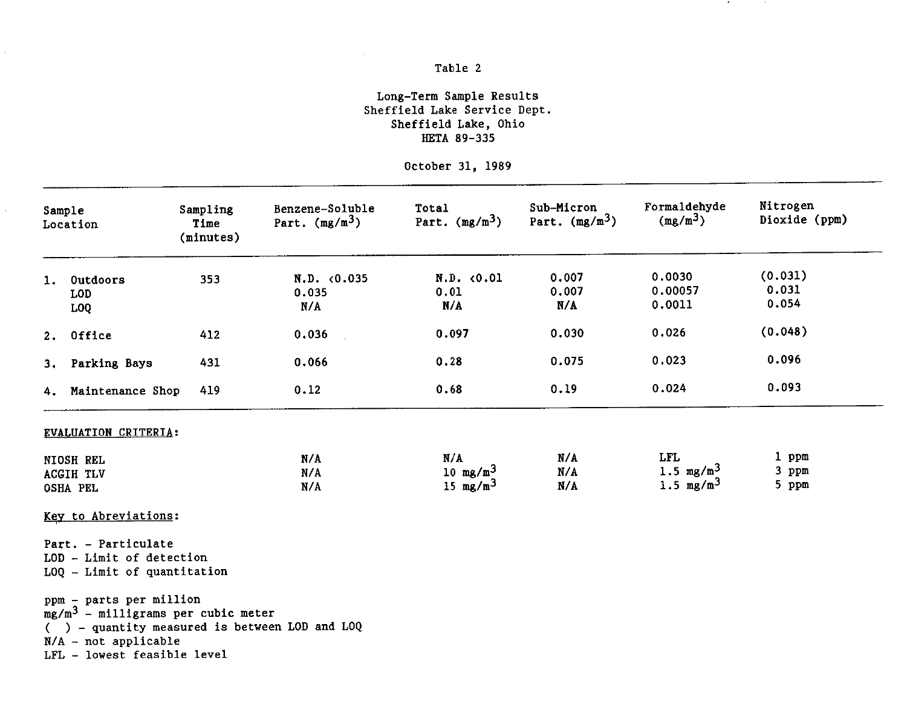## Table 2

### Long-Term Sample Results Sheffield Lake Service Dept. Sheffield Lake, Ohio HETA 89-335

October 31, 1989

| Sample<br>Location |                                                                                                                                                                              | Sampling<br>Time<br>(minutes) | Benzene-Soluble<br>Part. $(mg/m3)$ | Total<br>Part. $(mg/m^3)$                 | Sub-Micron<br>Part. $(mg/m^3)$ | Formaldehyde<br>$(mg/m^3)$                 | Nitrogen<br>Dioxide (ppm) |
|--------------------|------------------------------------------------------------------------------------------------------------------------------------------------------------------------------|-------------------------------|------------------------------------|-------------------------------------------|--------------------------------|--------------------------------------------|---------------------------|
|                    | 1. Outdoors<br><b>LOD</b><br>LOQ                                                                                                                                             | 353                           | N.D. <0.035<br>0.035<br>N/A        | N.D. < 0.01<br>0.01<br>N/A                | 0.007<br>0.007<br>N/A          | 0.0030<br>0.00057<br>0.0011                | (0.031)<br>0.031<br>0.054 |
|                    | 2. Office                                                                                                                                                                    | 412                           | 0.036                              | 0.097                                     | 0.030                          | 0.026                                      | (0.048)                   |
|                    | 3. Parking Bays                                                                                                                                                              | 431                           | 0.066                              | 0.28                                      | 0.075                          | 0.023                                      | 0.096                     |
|                    | 4. Maintenance Shop                                                                                                                                                          | 419                           | 0.12                               | 0.68                                      | 0.19                           | 0.024                                      | 0.093                     |
|                    | EVALUATION CRITERIA:<br>NIOSH REL<br><b>ACGIH TLV</b><br>OSHA PEL                                                                                                            |                               | N/A<br>N/A<br>N/A                  | N/A<br>10 mg/m <sup>3</sup><br>15 $mg/m3$ | N/A<br>N/A<br>N/A              | <b>LFL</b><br>1.5 $mg/m^3$<br>1.5 $mg/m^3$ | 1 ppm<br>3 ppm<br>5 ppm   |
|                    | Key to Abreviations:<br>Part. - Particulate<br>LOD - Limit of detection<br>$LOQ$ - Limit of quantitation                                                                     |                               |                                    |                                           |                                |                                            |                           |
|                    | ppm - parts per million<br>$mg/m3$ - milligrams per cubic meter<br>$($ ) - quantity measured is between LOD and LOQ<br>$N/A$ - not applicable<br>LFL - lowest feasible level |                               |                                    |                                           |                                |                                            |                           |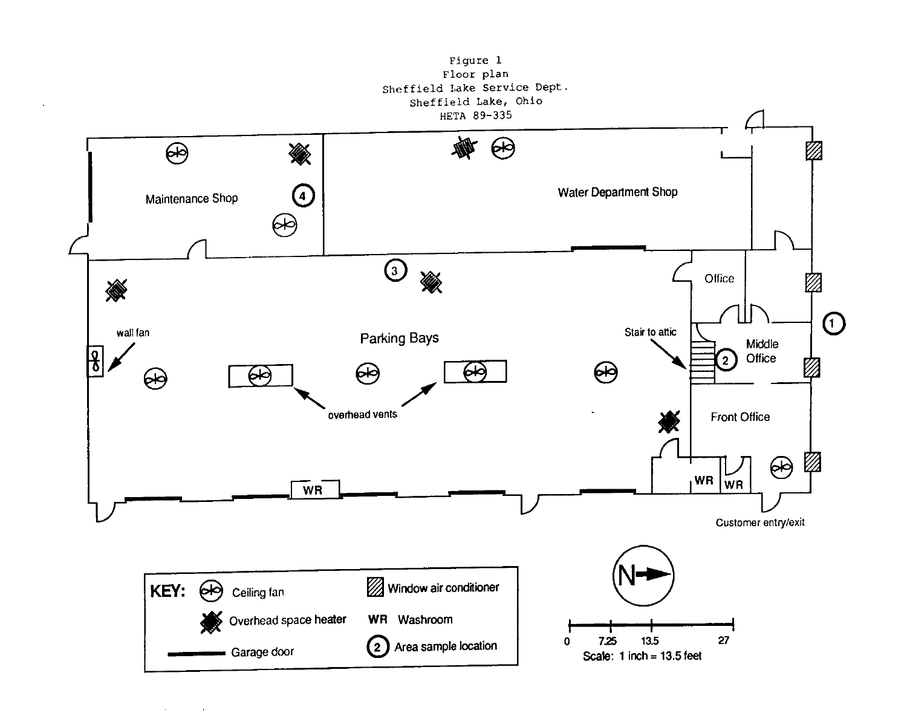

**Charles Company** 

 $\sim 10^{-10}$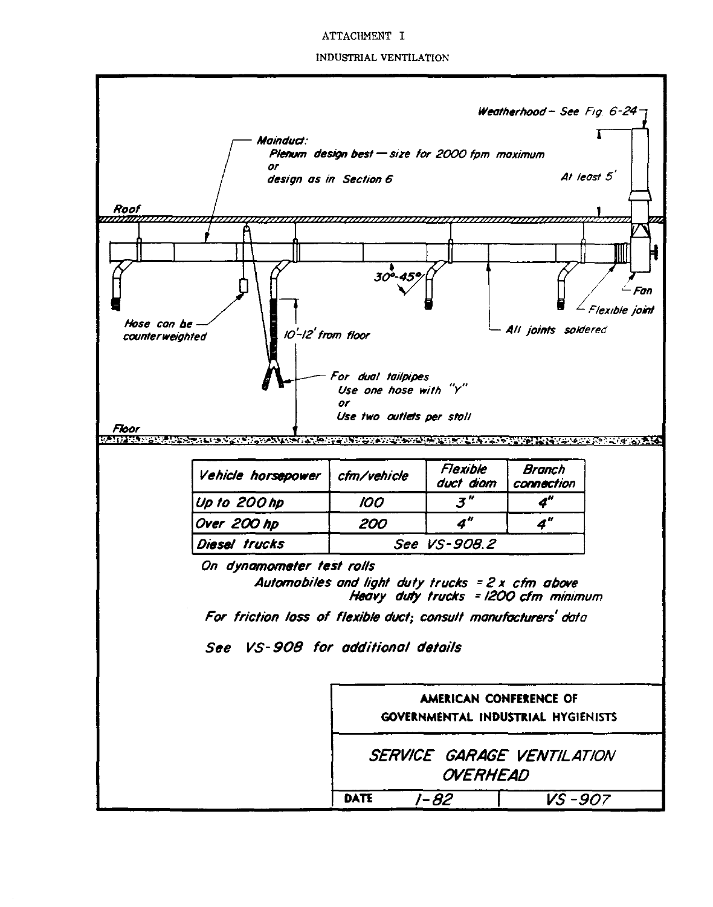#### ATTACHMENT I

#### INDUSTRIAL VENTILATION

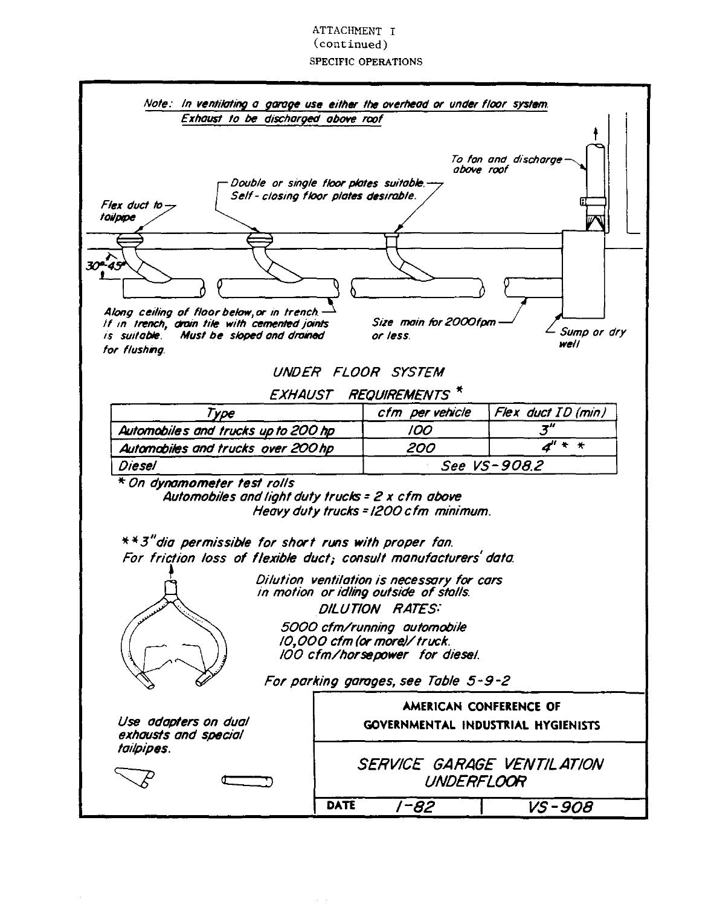#### ATTACHMENT T  $(continued)$ **SPECIFIC OPERATIONS**